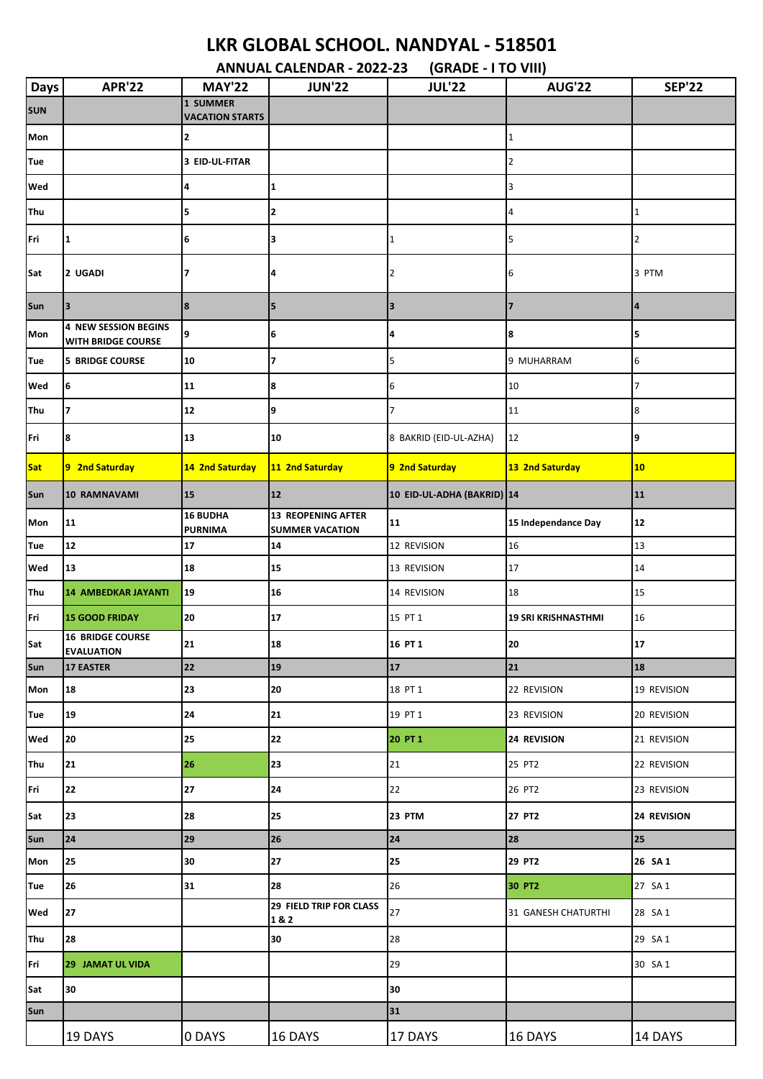## **LKR GLOBAL SCHOOL. NANDYAL - 518501**

**ANNUAL CALENDAR - 2022-23 (GRADE - I TO VIII)**

| Days       | <b>APR'22</b>                                            | <b>MAY'22</b>                      | <b>JUN'22</b>                                       | <b>JUL'22</b>              | <b>AUG'22</b>              | <b>SEP'22</b>  |
|------------|----------------------------------------------------------|------------------------------------|-----------------------------------------------------|----------------------------|----------------------------|----------------|
| SUN        |                                                          | 1 SUMMER<br><b>VACATION STARTS</b> |                                                     |                            |                            |                |
| Mon        |                                                          | 2                                  |                                                     |                            | 1                          |                |
| Tue        |                                                          | 3 EID-UL-FITAR                     |                                                     |                            | 2                          |                |
| Wed        |                                                          | 4                                  | 1                                                   |                            | 3                          |                |
| <b>Thu</b> |                                                          | 5                                  | 2                                                   |                            | 4                          | $\mathbf{1}$   |
| Fri        | $\mathbf{1}$                                             | 6                                  | 3                                                   | $\mathbf{1}$               |                            | 2              |
| Sat        | 2 UGADI                                                  |                                    | 4                                                   | 2                          | 6                          | 3 PTM          |
| Sun        | $\overline{\mathbf{3}}$                                  | 8                                  | 5                                                   | 3                          | 7                          | $\overline{a}$ |
| Mon        | <b>4 NEW SESSION BEGINS</b><br><b>WITH BRIDGE COURSE</b> | 9                                  | 6                                                   | 4                          | 8                          | 5              |
| Tue        | <b>5 BRIDGE COURSE</b>                                   | 10                                 | 7                                                   | 5                          | 9 MUHARRAM                 | 6              |
| Wed        | 6                                                        | 11                                 | 8                                                   | 6                          | 10                         | 7              |
| Thu        | $\overline{7}$                                           | 12                                 | 9                                                   | $\overline{7}$             | 11                         | 8              |
| Fri        | 8                                                        | 13                                 | 10                                                  | 8 BAKRID (EID-UL-AZHA)     | 12                         | 9              |
| Sat        | 9 2nd Saturday                                           | 14 2nd Saturday                    | 11 2nd Saturday                                     | 9 2nd Saturday             | 13 2nd Saturday            | 10             |
| Sun        | 10 RAMNAVAMI                                             | 15                                 | 12                                                  | 10 EID-UL-ADHA (BAKRID) 14 |                            | 11             |
| Mon        | 11                                                       | <b>16 BUDHA</b><br><b>PURNIMA</b>  | <b>13 REOPENING AFTER</b><br><b>SUMMER VACATION</b> | 11                         | 15 Independance Day        | 12             |
| Tue        | 12                                                       | 17                                 | 14                                                  | 12 REVISION                | 16                         | 13             |
| Wed        | 13                                                       | 18                                 | 15                                                  | 13 REVISION                | 17                         | 14             |
| <b>Thu</b> | <b>14 AMBEDKAR JAYANTI</b>                               | 19                                 | 16                                                  | 14 REVISION                | 18                         | 15             |
| Fri        | <b>15 GOOD FRIDAY</b>                                    | 20                                 | 17                                                  | 15 PT 1                    | <b>19 SRI KRISHNASTHMI</b> | 16             |
| Sat        | <b>16 BRIDGE COURSE</b><br><b>EVALUATION</b>             | 21                                 | 18                                                  | 16 PT 1                    | 20                         | 17             |
| Sun        | <b>17 EASTER</b>                                         | 22                                 | 19                                                  | 17                         | 21                         | 18             |
| Mon        | 18                                                       | 23                                 | 20                                                  | 18 PT 1                    | 22 REVISION                | 19 REVISION    |
| Tue        | 19                                                       | 24                                 | 21                                                  | 19 PT 1                    | 23 REVISION                | 20 REVISION    |
| Wed        | 20                                                       | 25                                 | 22                                                  | 20 PT 1                    | 24 REVISION                | 21 REVISION    |
| Thu        | 21                                                       | 26                                 | 23                                                  | $21\,$                     | 25 PT2                     | 22 REVISION    |
| Fri        | 22                                                       | 27                                 | 24                                                  | 22                         | 26 PT2                     | 23 REVISION    |
| Sat        | 23                                                       | 28                                 | 25                                                  | 23 PTM                     | 27 PT2                     | 24 REVISION    |
| Sun        | 24                                                       | 29                                 | 26                                                  | 24                         | 28                         | 25             |
| Mon        | 25                                                       | 30                                 | 27                                                  | 25                         | 29 PT2                     | 26 SA 1        |
| <b>Tue</b> | 26                                                       | 31                                 | 28                                                  | 26                         | 30 PT2                     | 27 SA 1        |
| Wed        | 27                                                       |                                    | <b>29 FIELD TRIP FOR CLASS</b><br>1&2               | 27                         | 31 GANESH CHATURTHI        | 28 SA 1        |
| <b>Thu</b> | 28                                                       |                                    | 30                                                  | 28                         |                            | 29 SA 1        |
| Fri        | <b>29 JAMAT UL VIDA</b>                                  |                                    |                                                     | 29                         |                            | 30 SA 1        |
| Sat        | 30                                                       |                                    |                                                     | 30                         |                            |                |
| Sun        |                                                          |                                    |                                                     | 31                         |                            |                |
|            | 19 DAYS                                                  | 0 DAYS                             | 16 DAYS                                             | 17 DAYS                    | 16 DAYS                    | 14 DAYS        |